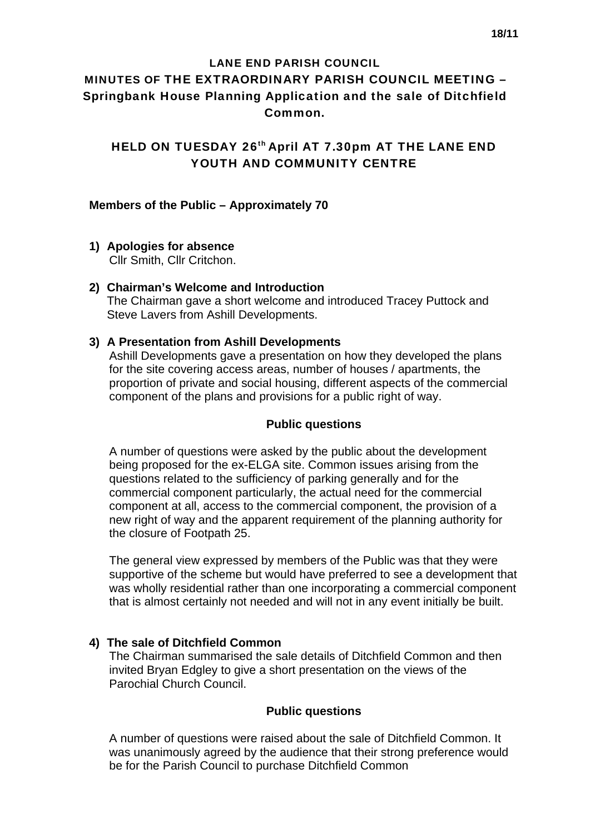#### LANE END PARISH COUNCIL

# MINUTES OF THE EXTRAORDINARY PARISH COUNCIL MEETING – Springbank House Planning Application and the sale of Ditchfield Common.

# HELD ON TUESDAY 26<sup>th</sup> April AT 7.30pm AT THE LANE END YOUTH AND COMMUNITY CENTRE

### **Members of the Public – Approximately 70**

**1) Apologies for absence** 

Cllr Smith, Cllr Critchon.

**2) Chairman's Welcome and Introduction**  The Chairman gave a short welcome and introduced Tracey Puttock and Steve Lavers from Ashill Developments.

## **3) A Presentation from Ashill Developments**

Ashill Developments gave a presentation on how they developed the plans for the site covering access areas, number of houses / apartments, the proportion of private and social housing, different aspects of the commercial component of the plans and provisions for a public right of way.

### **Public questions**

A number of questions were asked by the public about the development being proposed for the ex-ELGA site. Common issues arising from the questions related to the sufficiency of parking generally and for the commercial component particularly, the actual need for the commercial component at all, access to the commercial component, the provision of a new right of way and the apparent requirement of the planning authority for the closure of Footpath 25.

The general view expressed by members of the Public was that they were supportive of the scheme but would have preferred to see a development that was wholly residential rather than one incorporating a commercial component that is almost certainly not needed and will not in any event initially be built.

# **4) The sale of Ditchfield Common**

The Chairman summarised the sale details of Ditchfield Common and then invited Bryan Edgley to give a short presentation on the views of the Parochial Church Council.

#### **Public questions**

A number of questions were raised about the sale of Ditchfield Common. It was unanimously agreed by the audience that their strong preference would be for the Parish Council to purchase Ditchfield Common